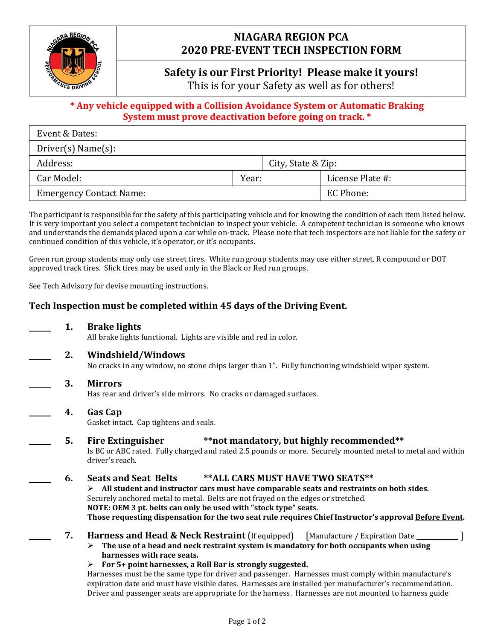

# **NIAGARA REGION PCA 2020 PRE-EVENT TECH INSPECTION FORM**

# **Safety is our First Priority! Please make it yours!**

This is for your Safety as well as for others!

## **\* Any vehicle equipped with a Collision Avoidance System or Automatic Braking System must prove deactivation before going on track. \***

| Event & Dates:                      |       |                    |                  |  |
|-------------------------------------|-------|--------------------|------------------|--|
| $\text{Driver}(s) \text{Name}(s)$ : |       |                    |                  |  |
| Address:                            |       | City, State & Zip: |                  |  |
| Car Model:                          | Year: |                    | License Plate #: |  |
| <b>Emergency Contact Name:</b>      |       |                    | EC Phone:        |  |

The participant is responsible for the safety of this participating vehicle and for knowing the condition of each item listed below. It is very important you select a competent technician to inspect your vehicle. A competent technician is someone who knows and understands the demands placed upon a car while on-track. Please note that tech inspectors are not liable for the safety or continued condition of this vehicle, it's operator, or it's occupants.

Green run group students may only use street tires. White run group students may use either street, R compound or DOT approved track tires. Slick tires may be used only in the Black or Red run groups.

See Tech Advisory for devise mounting instructions.

## **Tech Inspection must be completed within 45 days of the Driving Event.**

- **1. Brake lights** All brake lights functional. Lights are visible and red in color.
- **2. Windshield/Windows**

No cracks in any window, no stone chips larger than 1". Fully functioning windshield wiper system.

**3. Mirrors**

Has rear and driver's side mirrors. No cracks or damaged surfaces.

- **4. Gas Cap** Gasket intact. Cap tightens and seals.
	- **5. Fire Extinguisher \*\*not mandatory, but highly recommended\*\*** Is BC or ABC rated. Fully charged and rated 2.5 pounds or more. Securely mounted metal to metal and within driver's reach.
	- **6. Seats and Seat Belts \*\*ALL CARS MUST HAVE TWO SEATS\*\***

➢ **All student and instructor cars must have comparable seats and restraints on both sides.**  Securely anchored metal to metal. Belts are not frayed on the edges or stretched. **NOTE: OEM 3 pt. belts can only be used with "stock type" seats. Those requesting dispensation for the two seat rule requires Chief Instructor's approval Before Event.**

- **7. Harness and Head & Neck Restraint** (If equipped) [Manufacture / Expiration Date \_\_\_\_\_\_\_\_\_\_\_]
	- ➢ **The use of a head and neck restraint system is mandatory for both occupants when using harnesses with race seats.**
	- ➢ **For 5+ point harnesses, a Roll Bar is strongly suggested.**

Harnesses must be the same type for driver and passenger. Harnesses must comply within manufacture's expiration date and must have visible dates. Harnesses are installed per manufacturer's recommendation. Driver and passenger seats are appropriate for the harness. Harnesses are not mounted to harness guide